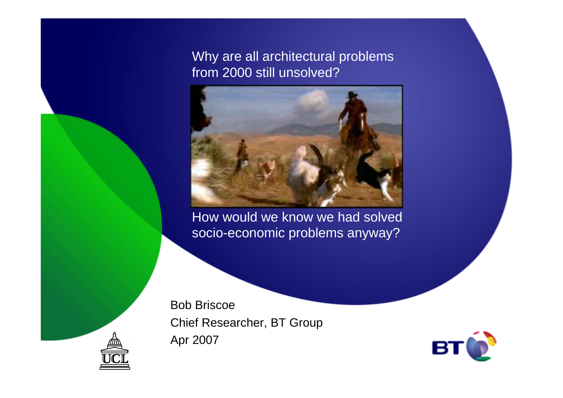Why are all architectural problems from 2000 still unsolved?



How would we know we had solved socio-economic problems anyway?

Bob Briscoe Chief Researcher, BT GroupApr 2007



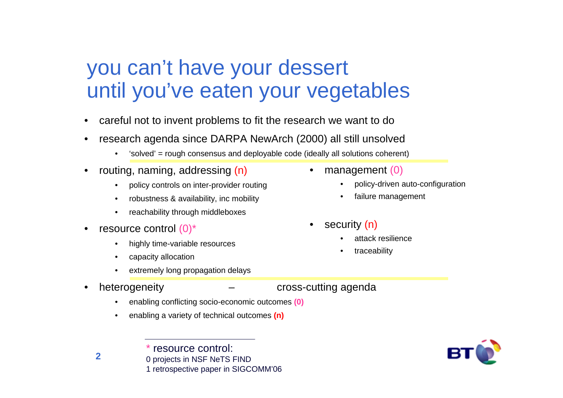## you can't have your dessertuntil you've eaten your vegetables

- $\bullet$ careful not to invent problems to fit the research we want to do
- • research agenda since DARPA NewArch (2000) all still unsolved
	- •'solved' = rough consensus and deployable code (ideally all solutions coherent)
- • routing, naming, addressing (n)
	- $\bullet$ policy controls on inter-provider routing
	- •robustness & availability, inc mobility
	- •reachability through middleboxes
- • resource control (0)\*
	- •highly time-variable resources
	- •capacity allocation

\*

- •extremely long propagation delays
- •
	- •enabling conflicting socio-economic outcomes **(0)**
	- •enabling a variety of technical outcomes **(n)**

resource control:



- $\bullet$  management (0)
	- •policy-driven auto-configuration
	- •failure management
- • security (n)
	- •attack resilience
	- •traceability
- heterogeneity cross-cutting agenda



**2**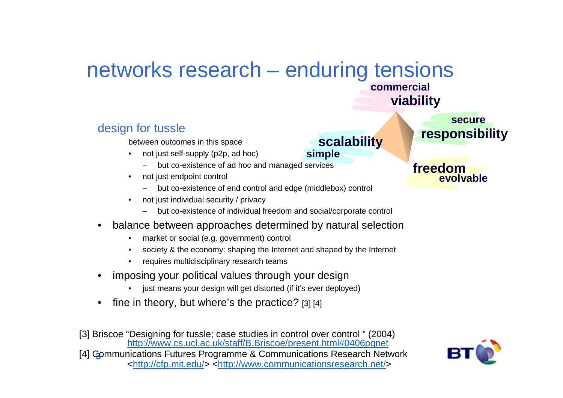#### networks research – enduring tensions**commercial**

#### design for tussle

between outcomes in this space

- not just self-supply (p2p, ad hoc)
	- but co-existence of ad hoc and managed services
- • not just endpoint control
	- but co-existence of end control and edge (middlebox) control
- • not just individual security / privacy
	- but co-existence of individual freedom and social/corporate control
- • balance between approaches determined by natural selection
	- market or social (e.g. government) control
	- •society & the economy: shaping the Internet and shaped by the Internet
	- •requires multidisciplinary research teams
- • imposing your political values through your design
	- just means your design will get distorted (if it's ever deployed)•
- •fine in theory, but where's the practice? [3] [4]

**3** [4] Communications Futures Programme & Communications Research Network<http://cfp.mit.edu/> <http://www.communicationsresearch.net/>



**freedomevolvable**

**responsibility**

**secure**

**viability**

**scalability**

**simple**

<sup>[3]</sup> Briscoe "Designing for tussle; case studies in control over control " (2004)http://www.cs.ucl.ac.uk/staff/B.Briscoe/present.html#0406pgnet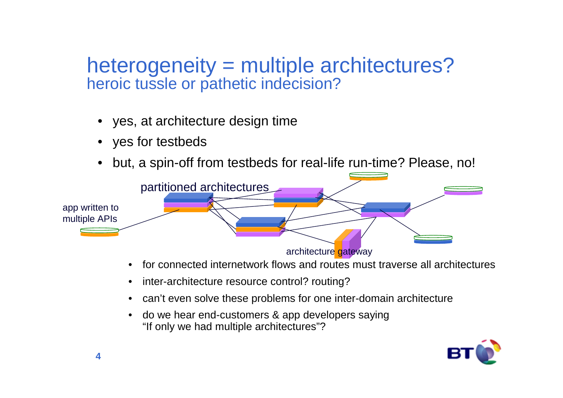### heterogeneity = multiple architectures? heroic tussle or pathetic indecision?

- yes, at architecture design time
- yes for testbeds
- but, a spin-off from testbeds for real-life run-time? Please, no!



- •for connected internetwork flows and routes must traverse all architectures
- inter-architecture resource control? routing?
- can't even solve these problems for one inter-domain architecture
- • do we hear end-customers & app developers saying "If only we had multiple architectures"?

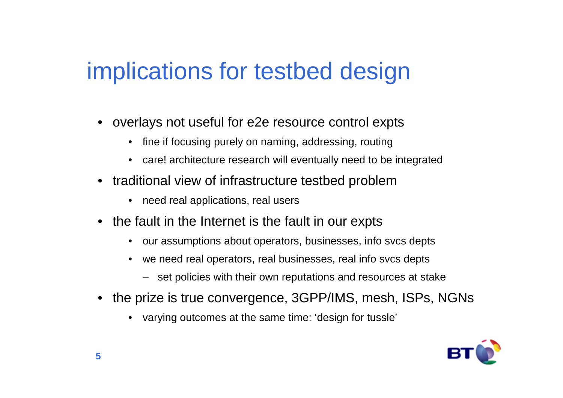# implications for testbed design

- overlays not useful for e2e resource control expts
	- fine if focusing purely on naming, addressing, routing
	- care! architecture research will eventually need to be integrated
- traditional view of infrastructure testbed problem
	- need real applications, real users
- the fault in the Internet is the fault in our expts
	- our assumptions about operators, businesses, info svcs depts
	- we need real operators, real businesses, real info svcs depts
		- set policies with their own reputations and resources at stake
- the prize is true convergence, 3GPP/IMS, mesh, ISPs, NGNs
	- varying outcomes at the same time: 'design for tussle'

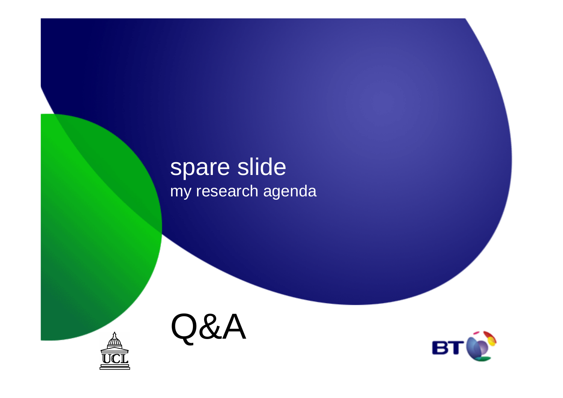### spare slidemy research agenda



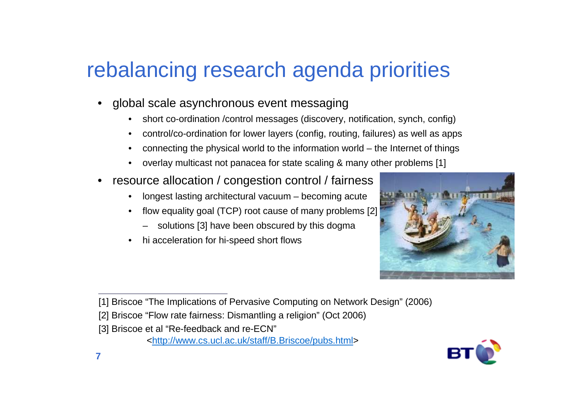# rebalancing research agenda priorities

- • global scale asynchronous event messaging
	- •short co-ordination /control messages (discovery, notification, synch, config)
	- •control/co-ordination for lower layers (config, routing, failures) as well as apps
	- •connecting the physical world to the information world – the Internet of things
	- •overlay multicast not panacea for state scaling & many other problems [1]
- • resource allocation / congestion control / fairness
	- longest lasting architectural vacuum becoming acute•
	- • flow equality goal (TCP) root cause of many problems [2]
		- solutions [3] have been obscured by this dogma
	- •hi acceleration for hi-speed short flows



<sup>[1]</sup> Briscoe "The Implications of Pervasive Computing on Network Design" (2006)



<sup>[2]</sup> Briscoe "Flow rate fairness: Dismantling a religion" (Oct 2006)

<sup>[3]</sup> Briscoe et al "Re-feedback and re-ECN"

<sup>&</sup>lt;http://www.cs.ucl.ac.uk/staff/B.Briscoe/pubs.html>